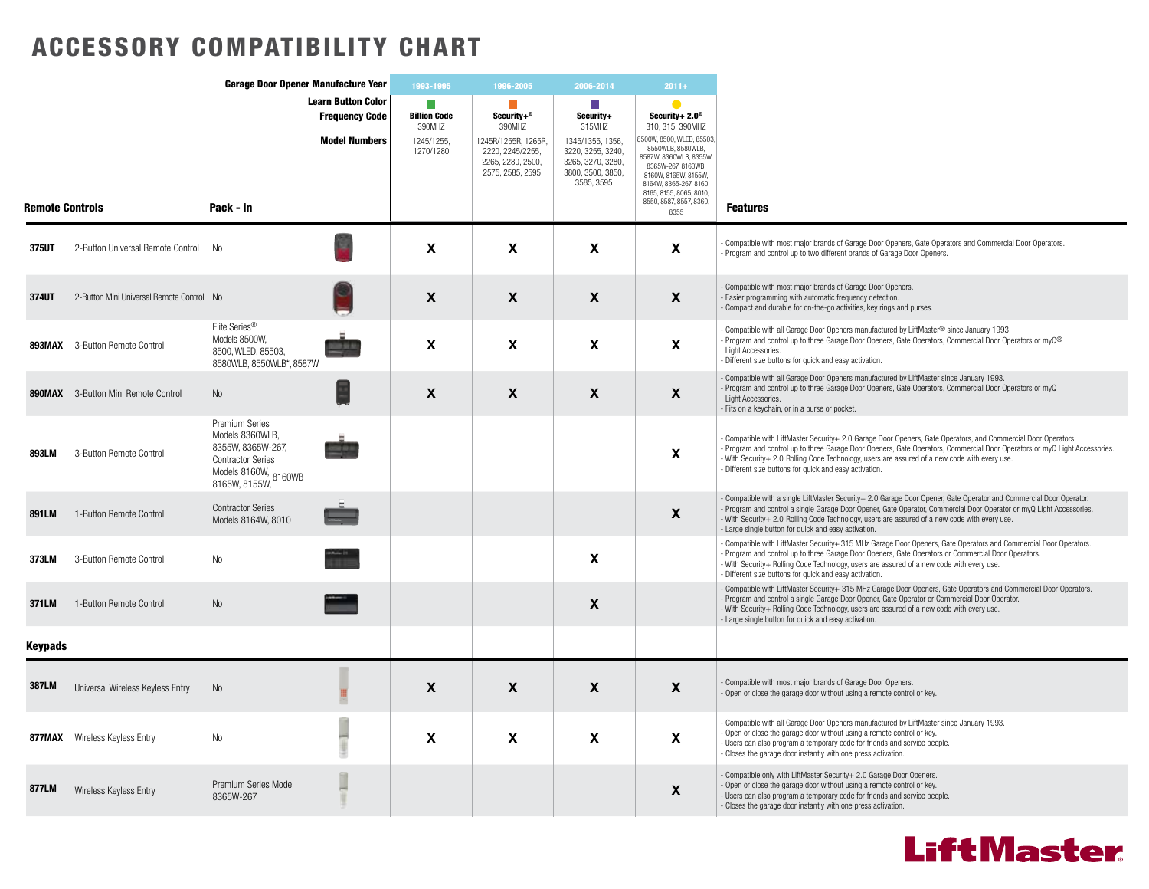## ACCESSORY COMPATIBILITY CHART

|                        |                                            | Garage Door Opener Manufacture Year                                                                                         |                                                    | 1993-1995                          | 1996-2005                                                                        | 2006-2014                                                                                     | $2011+$                                                                                                                                                                                                |                                                                                                                                                                                                                                                                                                                                                                                                    |
|------------------------|--------------------------------------------|-----------------------------------------------------------------------------------------------------------------------------|----------------------------------------------------|------------------------------------|----------------------------------------------------------------------------------|-----------------------------------------------------------------------------------------------|--------------------------------------------------------------------------------------------------------------------------------------------------------------------------------------------------------|----------------------------------------------------------------------------------------------------------------------------------------------------------------------------------------------------------------------------------------------------------------------------------------------------------------------------------------------------------------------------------------------------|
|                        |                                            |                                                                                                                             | <b>Learn Button Color</b><br><b>Frequency Code</b> | П<br><b>Billion Code</b><br>390MHZ | <b>The State</b><br>Security $+^{\circ}$<br>390MHZ                               | <b>Tale</b><br>Security+<br>315MHZ                                                            | Security+ $2.0^\circ$<br>310, 315, 390MHZ                                                                                                                                                              |                                                                                                                                                                                                                                                                                                                                                                                                    |
|                        |                                            | Pack - in                                                                                                                   | <b>Model Numbers</b>                               | 1245/1255,<br>1270/1280            | 1245R/1255R, 1265R,<br>2220, 2245/2255,<br>2265, 2280, 2500,<br>2575, 2585, 2595 | 1345/1355, 1356,<br>3220, 3255, 3240,<br>3265, 3270, 3280,<br>3800, 3500, 3850,<br>3585, 3595 | 8500W, 8500, WLED, 85503,<br>8550WLB, 8580WLB,<br>8587W, 8360WLB, 8355W,<br>8365W-267, 8160WB,<br>8160W, 8165W, 8155W,<br>8164W, 8365-267, 8160,<br>8165, 8155, 8065, 8010,<br>8550, 8587, 8557, 8360, | <b>Features</b>                                                                                                                                                                                                                                                                                                                                                                                    |
| <b>Remote Controls</b> |                                            |                                                                                                                             |                                                    |                                    |                                                                                  |                                                                                               | 8355                                                                                                                                                                                                   |                                                                                                                                                                                                                                                                                                                                                                                                    |
| 375UT                  | 2-Button Universal Remote Control          | No                                                                                                                          |                                                    | $\boldsymbol{\mathsf{x}}$          | X                                                                                | X                                                                                             | X                                                                                                                                                                                                      | Compatible with most major brands of Garage Door Openers, Gate Operators and Commercial Door Operators.<br>Program and control up to two different brands of Garage Door Openers.                                                                                                                                                                                                                  |
| 374UT                  | 2-Button Mini Universal Remote Control No  |                                                                                                                             |                                                    | $\boldsymbol{\mathsf{X}}$          | X                                                                                | X                                                                                             | X                                                                                                                                                                                                      | Compatible with most major brands of Garage Door Openers.<br>Easier programming with automatic frequency detection.<br>Compact and durable for on-the-go activities, key rings and purses.                                                                                                                                                                                                         |
|                        | <b>893MAX</b> 3-Button Remote Control      | Elite Series <sup>®</sup><br>Models 8500W,<br>8500, WLED, 85503,<br>8580WLB, 8550WLB*, 8587W                                |                                                    | $\boldsymbol{\mathsf{x}}$          | X                                                                                | X                                                                                             | X                                                                                                                                                                                                      | Compatible with all Garage Door Openers manufactured by LiftMaster® since January 1993.<br>Program and control up to three Garage Door Openers, Gate Operators, Commercial Door Operators or myQ <sup>®</sup><br>Light Accessories.<br>Different size buttons for quick and easy activation.                                                                                                       |
|                        | <b>890MAX</b> 3-Button Mini Remote Control | No                                                                                                                          |                                                    | $\boldsymbol{\mathsf{x}}$          | X                                                                                | X                                                                                             | $\mathsf{x}$                                                                                                                                                                                           | Compatible with all Garage Door Openers manufactured by LiftMaster since January 1993.<br>Program and control up to three Garage Door Openers, Gate Operators, Commercial Door Operators or myQ<br>Light Accessories.<br>- Fits on a keychain, or in a purse or pocket.                                                                                                                            |
| <b>893LM</b>           | 3-Button Remote Control                    | Premium Series<br>Models 8360WLB,<br>8355W. 8365W-267.<br><b>Contractor Series</b><br>Models 8160W, 8160WB<br>8165W, 8155W, |                                                    |                                    |                                                                                  |                                                                                               | X                                                                                                                                                                                                      | Compatible with LiftMaster Security+ 2.0 Garage Door Openers, Gate Operators, and Commercial Door Operators.<br>Program and control up to three Garage Door Openers, Gate Operators, Commercial Door Operators or myQ Light Accessories.<br>With Security+ 2.0 Rolling Code Technology, users are assured of a new code with every use.<br>- Different size buttons for quick and easy activation. |
| 891LM                  | 1-Button Remote Control                    | <b>Contractor Series</b><br>Models 8164W, 8010                                                                              |                                                    |                                    |                                                                                  |                                                                                               | X                                                                                                                                                                                                      | Compatible with a single LiftMaster Security+ 2.0 Garage Door Opener, Gate Operator and Commercial Door Operator.<br>Program and control a single Garage Door Opener, Gate Operator, Commercial Door Operator or myQ Light Accessories.<br>- With Security+ 2.0 Rolling Code Technology, users are assured of a new code with every use.<br>- Large single button for quick and easy activation.   |
| 373LM                  | 3-Button Remote Control                    | No                                                                                                                          |                                                    |                                    |                                                                                  | X                                                                                             |                                                                                                                                                                                                        | Compatible with LiftMaster Security+315 MHz Garage Door Openers, Gate Operators and Commercial Door Operators.<br>- Program and control up to three Garage Door Openers, Gate Operators or Commercial Door Operators.<br>With Security+ Rolling Code Technology, users are assured of a new code with every use.<br>- Different size buttons for quick and easy activation.                        |
| 371LM                  | 1-Button Remote Control                    | No                                                                                                                          |                                                    |                                    |                                                                                  | X                                                                                             |                                                                                                                                                                                                        | Compatible with LiftMaster Security+ 315 MHz Garage Door Openers, Gate Operators and Commercial Door Operators.<br>- Program and control a single Garage Door Opener, Gate Operator or Commercial Door Operator,<br>With Security+ Rolling Code Technology, users are assured of a new code with every use.<br>- Large single button for quick and easy activation.                                |
| <b>Keypads</b>         |                                            |                                                                                                                             |                                                    |                                    |                                                                                  |                                                                                               |                                                                                                                                                                                                        |                                                                                                                                                                                                                                                                                                                                                                                                    |
| <b>387LM</b>           | Universal Wireless Keyless Entry           | No                                                                                                                          |                                                    | $\boldsymbol{\mathsf{X}}$          | X                                                                                | X                                                                                             | X                                                                                                                                                                                                      | Compatible with most major brands of Garage Door Openers.<br>Open or close the garage door without using a remote control or key.                                                                                                                                                                                                                                                                  |
|                        | <b>877MAX</b> Wireless Keyless Entry       | No                                                                                                                          |                                                    | $\boldsymbol{\mathsf{X}}$          | X                                                                                | X                                                                                             | $\mathbf{x}$                                                                                                                                                                                           | Compatible with all Garage Door Openers manufactured by LiftMaster since January 1993.<br>Open or close the garage door without using a remote control or key.<br>Users can also program a temporary code for friends and service people.<br>- Closes the garage door instantly with one press activation.                                                                                         |
| 877LM                  | Wireless Keyless Entry                     | Premium Series Model<br>8365W-267                                                                                           |                                                    |                                    |                                                                                  |                                                                                               | X                                                                                                                                                                                                      | Compatible only with LiftMaster Security+ 2.0 Garage Door Openers.<br>Open or close the garage door without using a remote control or key.<br>Users can also program a temporary code for friends and service people.<br>Closes the garage door instantly with one press activation.                                                                                                               |
|                        |                                            |                                                                                                                             |                                                    |                                    |                                                                                  |                                                                                               |                                                                                                                                                                                                        |                                                                                                                                                                                                                                                                                                                                                                                                    |